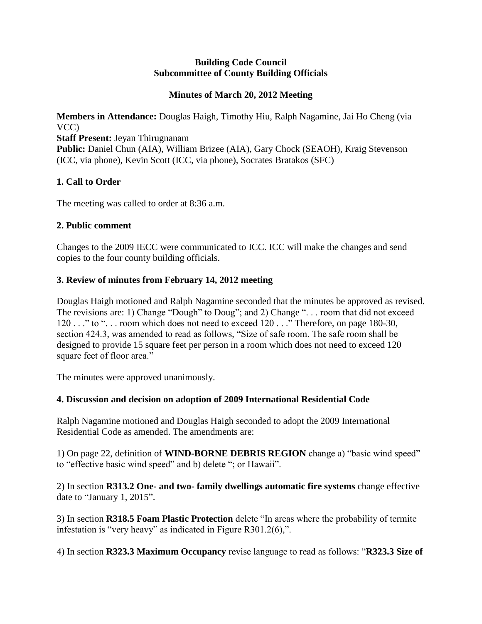#### **Building Code Council Subcommittee of County Building Officials**

### **Minutes of March 20, 2012 Meeting**

**Members in Attendance:** Douglas Haigh, Timothy Hiu, Ralph Nagamine, Jai Ho Cheng (via VCC)

**Staff Present:** Jeyan Thirugnanam

Public: Daniel Chun (AIA), William Brizee (AIA), Gary Chock (SEAOH), Kraig Stevenson (ICC, via phone), Kevin Scott (ICC, via phone), Socrates Bratakos (SFC)

# **1. Call to Order**

The meeting was called to order at 8:36 a.m.

### **2. Public comment**

Changes to the 2009 IECC were communicated to ICC. ICC will make the changes and send copies to the four county building officials.

## **3. Review of minutes from February 14, 2012 meeting**

Douglas Haigh motioned and Ralph Nagamine seconded that the minutes be approved as revised. The revisions are: 1) Change "Dough" to Doug"; and 2) Change ". . . room that did not exceed 120 . . ." to ". . . room which does not need to exceed 120 . . ." Therefore, on page 180-30, section 424.3, was amended to read as follows, "Size of safe room. The safe room shall be designed to provide 15 square feet per person in a room which does not need to exceed 120 square feet of floor area."

The minutes were approved unanimously.

### **4. Discussion and decision on adoption of 2009 International Residential Code**

Ralph Nagamine motioned and Douglas Haigh seconded to adopt the 2009 International Residential Code as amended. The amendments are:

1) On page 22, definition of **WIND-BORNE DEBRIS REGION** change a) "basic wind speed" to "effective basic wind speed" and b) delete "; or Hawaii".

2) In section **R313.2 One- and two- family dwellings automatic fire systems** change effective date to "January 1, 2015".

3) In section **R318.5 Foam Plastic Protection** delete "In areas where the probability of termite infestation is "very heavy" as indicated in Figure R301.2(6),".

4) In section **R323.3 Maximum Occupancy** revise language to read as follows: "**R323.3 Size of**